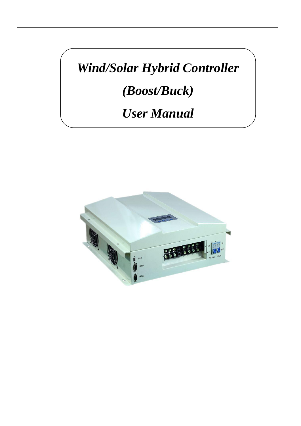*Wind/Solar Hybrid Controller*

*(Boost/Buck)*

### *User Manual*

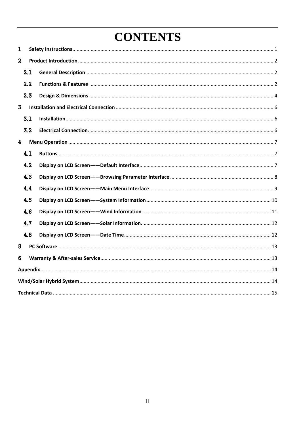### **CONTENTS**

| ı                       |     |  |
|-------------------------|-----|--|
| $\boldsymbol{z}$        |     |  |
|                         | 2.1 |  |
|                         | 2.2 |  |
|                         | 2.3 |  |
| 3                       |     |  |
|                         | 3.1 |  |
|                         | 3.2 |  |
| $\overline{\mathbf{4}}$ |     |  |
|                         | 4.1 |  |
|                         | 4.2 |  |
|                         | 4.3 |  |
|                         | 4.4 |  |
|                         | 4.5 |  |
|                         | 4.6 |  |
|                         | 4.7 |  |
|                         | 4.8 |  |
| 5                       |     |  |
| 6                       |     |  |
|                         |     |  |
|                         |     |  |
|                         |     |  |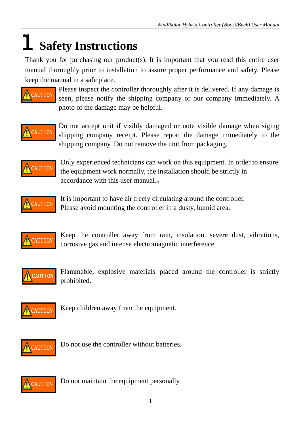## **Safety Instructions**

Thank you for purchasing our product(s). It is important that you read this entire user manual thoroughly prior to installation to assure proper performance and safety. Please keep the manual in a safe place.



Please inspect the controller thoroughly after it is delivered. If any damage is seen, please notify the shipping company or our company immediately. A photo of the damage may be helpful.



Do not accept unit if visibly damaged or note visible damage when siging shipping company receipt. Please report the damage immediately to the shipping company. Do not remove the unit from packaging.



Only experienced technicians can work on this equipment. In order to ensure the equipment work normally, the installation should be strictly in accordance with this user manual.。



It is important to have air freely circulating around the controller. Please avoid mounting the controller in a dusty, humid area.



Keep the controller away from rain, insolation, severe dust, vibrations, corrosive gas and intense electromagnetic interference.



Flammable, explosive materials placed around the controller is strictly prohibited.



Keep children away from the equipment.



Do not use the controller without batteries.



Do not maintain the equipment personally.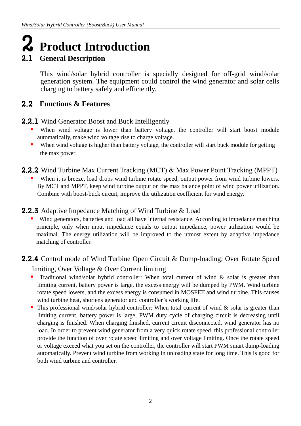# 2 **Product Introduction**

### 2.1 **General Description**

 This wind/solar hybrid controller is specially designed for off-grid wind/solar generation system. The equipment could control the wind generator and solar cells charging to battery safely and efficiently.

### 2.2 **Functions & Features**

### **2.2.1** Wind Generator Boost and Buck Intelligently

- When wind voltage is lower than battery voltage, the controller will start boost module automatically, make wind voltage rise to charge voltage.
- When wind voltage is higher than battery voltage, the controller will start buck module for getting the max power.
- 2.2.2 Wind Turbine Max Current Tracking (MCT) & Max Power Point Tracking (MPPT)
	- When it is breeze, load drops wind turbine rotate speed, output power from wind turbine lowers. By MCT and MPPT, keep wind turbine output on the max balance point of wind power utilization. Combine with boost-buck circuit, improve the utilization coefficient for wind energy.
- 2.2.3 Adaptive Impedance Matching of Wind Turbine & Load
	- Wind generators, batteries and load all have internal resistance. According to impedance matching principle, only when input impedance equals to output impedance, power utilization would be maximal. The energy utilization will be improved to the utmost extent by adaptive impedance matching of controller.

### 2.2.4 Control mode of Wind Turbine Open Circuit & Dump-loading; Over Rotate Speed limiting, Over Voltage & Over Current limiting

- **Traditional wind/solar hybrid controller:** When total current of wind & solar is greater than limiting current, battery power is large, the excess energy will be dumped by PWM. Wind turbine rotate speed lowers, and the excess energy is consumed in MOSFET and wind turbine. This causes wind turbine heat, shortens generator and controller's working life.
- This professional wind/solar hybrid controller: When total current of wind  $\&$  solar is greater than limiting current, battery power is large, PWM duty cycle of charging circuit is decreasing until charging is finished. When charging finished, current circuit disconnected, wind generator has no load. In order to prevent wind generator from a very quick rotate speed, this professional controller provide the function of over rotate speed limiting and over voltage limiting. Once the rotate speed or voltage exceed what you set on the controller, the controller will start PWM smart dump-loading automatically. Prevent wind turbine from working in unloading state for long time. This is good for both wind turbine and controller.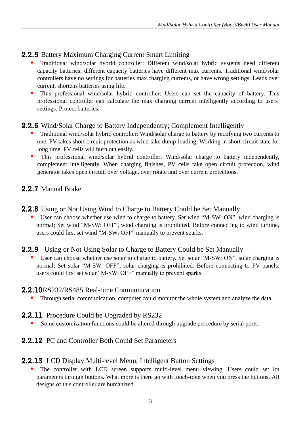### 2.2.5 Battery Maximum Charging Current Smart Limiting

- Traditional wind/solar hybrid controller: Different wind/solar hybrid systems need different capacity batteries; different capacity batteries have different max currents. Traditional wind/solar controllers have no settings for batteries max charging currents, or have wrong settings. Leads over current, shortens batteries using life.
- **This professional wind/solar hybrid controller:** Users can set the capacity of battery. This professional controller can calculate the max charging current intelligently according to users' settings. Protect batteries.

### 2.2.6 Wind/Solar Charge to Battery Independently; Complement Intelligently

- Traditional wind/solar hybrid controller: Wind/solar charge to battery by rectifying two currents to one. PV takes short circuit protection as wind take dump-loading. Working in short circuit state for long time, PV cells will burn out easily.
- This professional wind/solar hybrid controller: Wind/solar charge to battery independently, complement intelligently. When charging finishes, PV cells take open circuit protection, wind generator takes open circuit, over voltage, over rotate and over current protections.

### 2.2.7 Manual Brake

2.2.8 Using or Not Using Wind to Charge to Battery Could be Set Manually

 User can choose whether use wind to charge to battery. Set wind "M-SW: ON", wind charging is normal; Set wind "M-SW: OFF", wind charging is prohibited. Before connecting to wind turbine, users could first set wind "M-SW: OFF" manually to prevent sparks.

### 2.2.9 Using or Not Using Solar to Charge to Battery Could be Set Manually

 User can choose whether use solar to charge to battery. Set solar "M-SW: ON", solar charging is normal; Set solar "M-SW: OFF", solar charging is prohibited. Before connecting to PV panels, users could first set solar "M-SW: OFF" manually to prevent sparks.

### 2.2.10RS232/RS485 Real-time Communication

Through serial communication, computer could monitor the whole system and analyze the data.

### **2.2.11** Procedure Could be Upgraded by RS232

Some customization functions could be altered through upgrade procedure by serial ports.

### 2.2.12 PC and Controller Both Could Set Parameters

### 2.2.13 LCD Display Multi-level Menu; Intelligent Button Settings

 The controller with LCD screen supports multi-level menu viewing. Users could set lot parameters through buttons. What more is there go with touch-tone when you press the buttons. All designs of this controller are humanized.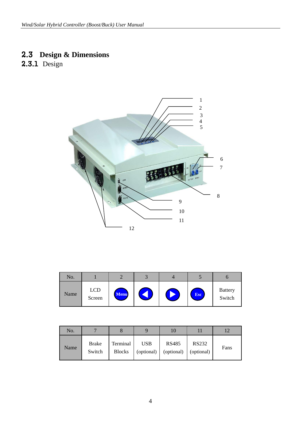### 2.3 **Design & Dimensions**

2.3.1 Design



| No.  |                      |             |  |            |                          |
|------|----------------------|-------------|--|------------|--------------------------|
| Name | <b>LCD</b><br>Screen | <b>Menu</b> |  | <b>Esc</b> | <b>Battery</b><br>Switch |

| No.  | $\overline{\phantom{0}}$ |                           |                          |                            |                            |      |
|------|--------------------------|---------------------------|--------------------------|----------------------------|----------------------------|------|
| Name | <b>Brake</b><br>Switch   | Terminal<br><b>Blocks</b> | <b>USB</b><br>(optional) | <b>RS485</b><br>(optional) | <b>RS232</b><br>(optional) | Fans |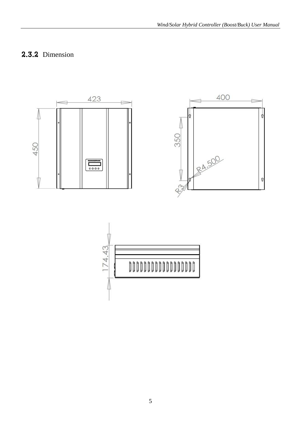### **2.3.2** Dimension



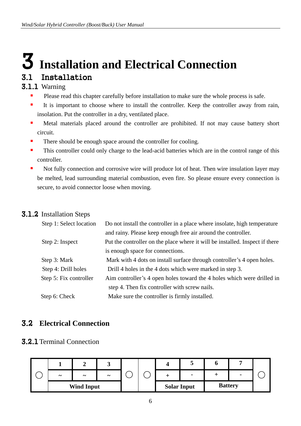### **Installation and Electrical Connection** 3.1 Installation

### 3.1.1 Warning

- **Please read this chapter carefully before installation to make sure the whole process is safe.**
- It is important to choose where to install the controller. Keep the controller away from rain, insolation. Put the controller in a dry, ventilated place.
- **In Metal materials placed around the controller are prohibited. If not may cause battery short** circuit.
- There should be enough space around the controller for cooling.
- This controller could only charge to the lead-acid batteries which are in the control range of this controller.
- Not fully connection and corrosive wire will produce lot of heat. Then wire insulation layer may be melted, lead surrounding material combustion, even fire. So please ensure every connection is secure, to avoid connector loose when moving.

#### 3.1.2 Installation Steps

| Step 1: Select location | Do not install the controller in a place where insolate, high temperature    |
|-------------------------|------------------------------------------------------------------------------|
|                         | and rainy. Please keep enough free air around the controller.                |
| Step 2: Inspect         | Put the controller on the place where it will be installed. Inspect if there |
|                         | is enough space for connections.                                             |
| Step 3: Mark            | Mark with 4 dots on install surface through controller's 4 open holes.       |
| Step 4: Drill holes     | Drill 4 holes in the 4 dots which were marked in step 3.                     |
| Step 5: Fix controller  | Aim controller's 4 open holes toward the 4 holes which were drilled in       |
|                         | step 4. Then fix controller with screw nails.                                |
| Step 6: Check           | Make sure the controller is firmly installed.                                |
|                         |                                                                              |

### 3.2 **Electrical Connection**

### **3.2.1** Terminal Connection

| $\tilde{\phantom{a}}$ | $\tilde{\phantom{a}}$ | $\tilde{\phantom{a}}$ |  |                    | $\blacksquare$ |                |  |
|-----------------------|-----------------------|-----------------------|--|--------------------|----------------|----------------|--|
|                       | <b>Wind Input</b>     |                       |  | <b>Solar Input</b> |                | <b>Battery</b> |  |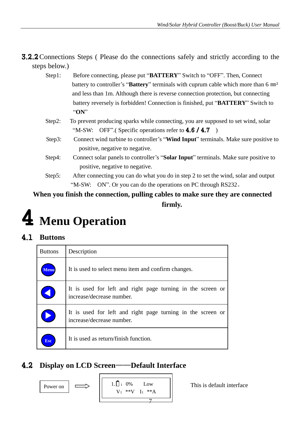3.2.2Connections Steps ( Please do the connections safely and strictly according to the steps below.)

- Step1: Before connecting, please put "**BATTERY**" Switch to "OFF". Then, Connect battery to controller's "**Battery**" terminals with cuprum cable which more than 6 ㎜² and less than 1m. Although there is reverse connection protection, but connecting battery reversely is forbidden! Connection is finished, put "**BATTERY**" Switch to "**ON**"
- Step2: To prevent producing sparks while connecting, you are supposed to set wind, solar "M-SW: OFF". (Specific operations refer to  $4.6 / 4.7$ )
- Step3: Connect wind turbine to controller's "**Wind Input**" terminals. Make sure positive to positive, negative to negative.
- Step4: Connect solar panels to controller's "**Solar Input**" terminals. Make sure positive to positive, negative to negative.
- Step5: After connecting you can do what you do in step 2 to set the wind, solar and output "M-SW: ON". Or you can do the operations on PC through RS232。

**When you finish the connection, pulling cables to make sure they are connected firmly.**

## **Menu Operation**

### 4.1 **Buttons**

| <b>Buttons</b>        | Description                                                                              |
|-----------------------|------------------------------------------------------------------------------------------|
| <b>Tenu</b>           | It is used to select menu item and confirm changes.                                      |
| $\blacklozenge$       | It is used for left and right page turning in the screen or<br>increase/decrease number. |
| $\blacktriangleright$ | It is used for left and right page turning in the screen or<br>increase/decrease number. |
| <b>Esc</b>            | It is used as return/finish function.                                                    |

### 4.2 **Display on LCD Screen**——**Default Interface**

$$
\mid \implies
$$

1. 
$$
\begin{array}{c}\n1. \overline{\mathsf{u}} : 0\% & \text{Low} \\
\hline\n\mathsf{v}: **\mathsf{V} \quad \mathsf{l}: **\mathsf{A} \\
\hline\n7\n\end{array}
$$

Power on  $\left|\right| \implies \left|\right|$  1.  $\left|\right|$  = 0% Low  $\left|\right|$  This is default interface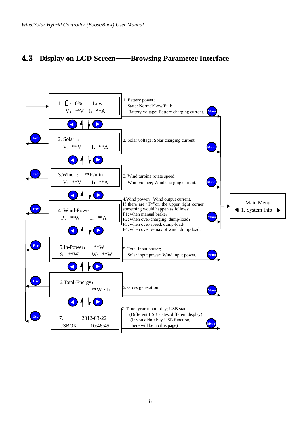### 4.3 **Display on LCD Screen**——**Browsing Parameter Interface**

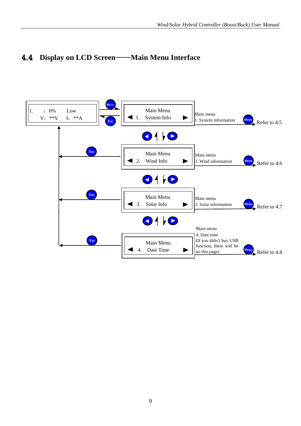### 4.4 **Display on LCD Screen**——**Main Menu Interface**

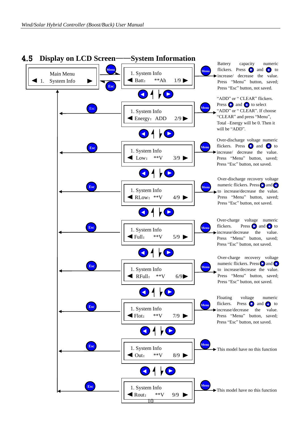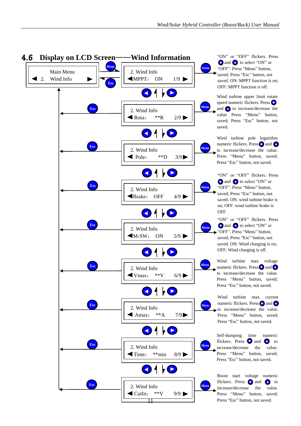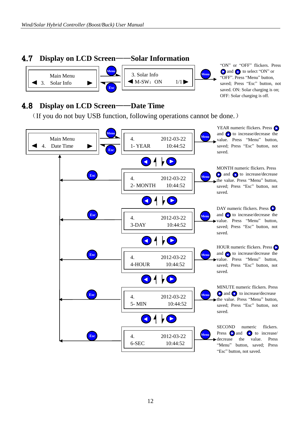### 4.7 **Display on LCD Screen**——**Solar Information**



"ON" or "OFF" flickers. Press and to select "ON" or "OFF". Press "Menu" button, saved; Press "Esc" button, not saved. ON: Solar charging is on; OFF: Solar charging is off.

### 4.8 **Display on LCD Screen**——**Date Time**

(If you do not buy USB function, following operations cannot be done.)

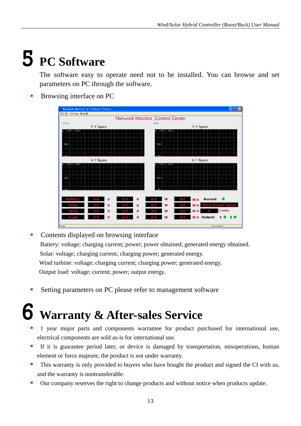# 5 **PC Software**

The software easy to operate need not to be installed. You can browse and set parameters on PC through the software.

Browsing interface on PC

| File (F) Setting Help (H)     |                                               |
|-------------------------------|-----------------------------------------------|
|                               | Network Monitor_Control Center                |
| Solar                         | Wind                                          |
| P-T figure                    | P-T figure                                    |
| $0.0$ T $/$ 100.0             | 0.0 T / 100.0                                 |
|                               |                                               |
|                               |                                               |
| 50.0                          | 50.0                                          |
|                               |                                               |
|                               |                                               |
| U-T figure                    | U-T figure                                    |
| 100.0<br>0.0T/                | 0.0T/100.0                                    |
|                               |                                               |
|                               |                                               |
| 50.0                          | 50.0                                          |
|                               |                                               |
|                               |                                               |
|                               |                                               |
| $\mathbf v$<br>A              | <b>Normal</b><br>W<br>W.h<br>0.0<br>Ω.        |
|                               |                                               |
| $\overline{\mathsf{v}}$<br>A  | W<br>W.h<br>lind Rotate<br>n.<br><b>Speed</b> |
| v<br>A                        | r/min<br>W.h<br>W                             |
| $\mathbf v$<br>$\overline{A}$ | W.h Output:<br>1020<br>W<br>0.0<br>0.O        |

• Contents displayed on browsing interface Battery: voltage; charging current; power; power obtained; generated energy obtained. Solar: voltage; charging current; charging power; generated energy. Wind turbine: voltage; charging current; charging power; generated energy. Output load: voltage; current; power; output energy.

Setting parameters on PC please refer to management software

## 6 **Warranty & After-sales Service**

- 1 year major parts and components warrantee for product purchased for international use, electrical components are sold as-is for international use.
- If it is guarantee period later, or device is damaged by transportation, misoperations, human element or force majeure, the product is not under warranty.
- This warranty is only provided to buyers who have bought the product and signed the CI with us, and the warranty is nontransferable.
- Our company reserves the right to change products and without notice when products update.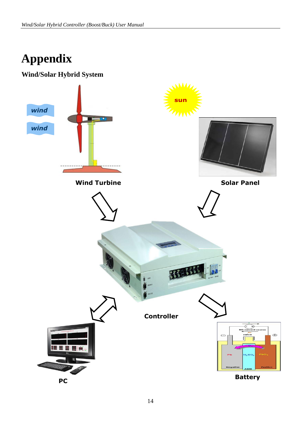### **Appendix**